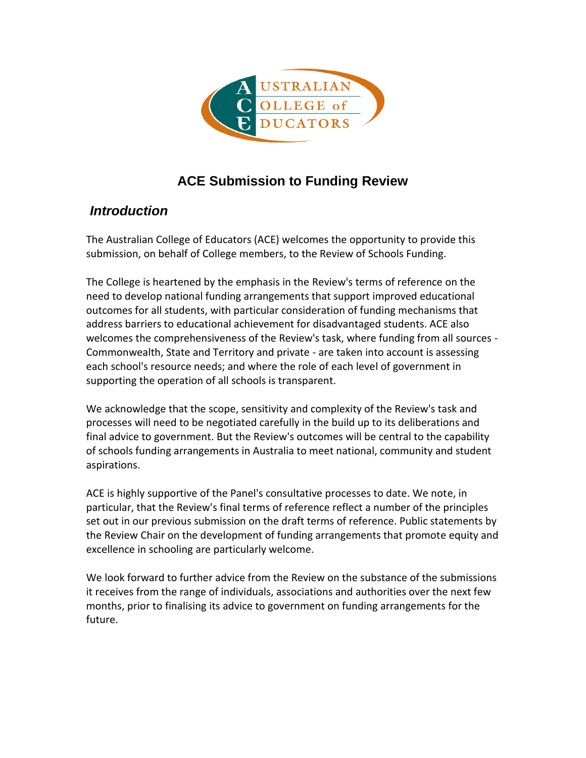

# **ACE Submission to Funding Review**

## *Introduction*

The Australian College of Educators (ACE) welcomes the opportunity to provide this submission, on behalf of College members, to the Review of Schools Funding.

The College is heartened by the emphasis in the Review's terms of reference on the need to develop national funding arrangements that support improved educational outcomes for all students, with particular consideration of funding mechanisms that address barriers to educational achievement for disadvantaged students. ACE also welcomes the comprehensiveness of the Review's task, where funding from all sources - Commonwealth, State and Territory and private - are taken into account is assessing each school's resource needs; and where the role of each level of government in supporting the operation of all schools is transparent.

We acknowledge that the scope, sensitivity and complexity of the Review's task and processes will need to be negotiated carefully in the build up to its deliberations and final advice to government. But the Review's outcomes will be central to the capability of schools funding arrangements in Australia to meet national, community and student aspirations.

ACE is highly supportive of the Panel's consultative processes to date. We note, in particular, that the Review's final terms of reference reflect a number of the principles set out in our previous submission on the draft terms of reference. Public statements by the Review Chair on the development of funding arrangements that promote equity and excellence in schooling are particularly welcome.

We look forward to further advice from the Review on the substance of the submissions it receives from the range of individuals, associations and authorities over the next few months, prior to finalising its advice to government on funding arrangements for the future.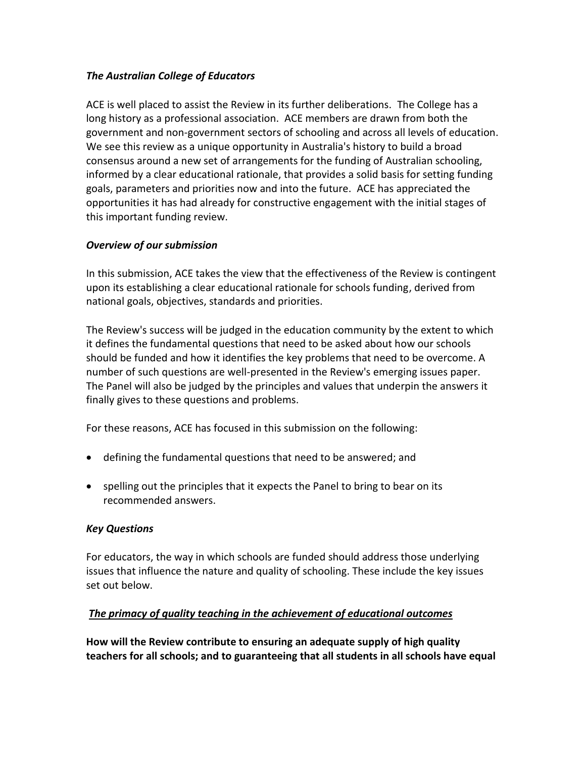#### *The Australian College of Educators*

ACE is well placed to assist the Review in its further deliberations. The College has a long history as a professional association. ACE members are drawn from both the government and non-government sectors of schooling and across all levels of education. We see this review as a unique opportunity in Australia's history to build a broad consensus around a new set of arrangements for the funding of Australian schooling, informed by a clear educational rationale, that provides a solid basis for setting funding goals, parameters and priorities now and into the future. ACE has appreciated the opportunities it has had already for constructive engagement with the initial stages of this important funding review.

#### *Overview of our submission*

In this submission, ACE takes the view that the effectiveness of the Review is contingent upon its establishing a clear educational rationale for schools funding, derived from national goals, objectives, standards and priorities.

The Review's success will be judged in the education community by the extent to which it defines the fundamental questions that need to be asked about how our schools should be funded and how it identifies the key problems that need to be overcome. A number of such questions are well-presented in the Review's emerging issues paper. The Panel will also be judged by the principles and values that underpin the answers it finally gives to these questions and problems.

For these reasons, ACE has focused in this submission on the following:

- defining the fundamental questions that need to be answered; and
- spelling out the principles that it expects the Panel to bring to bear on its recommended answers.

#### *Key Questions*

For educators, the way in which schools are funded should address those underlying issues that influence the nature and quality of schooling. These include the key issues set out below.

#### *The primacy of quality teaching in the achievement of educational outcomes*

**How will the Review contribute to ensuring an adequate supply of high quality teachers for all schools; and to guaranteeing that all students in all schools have equal**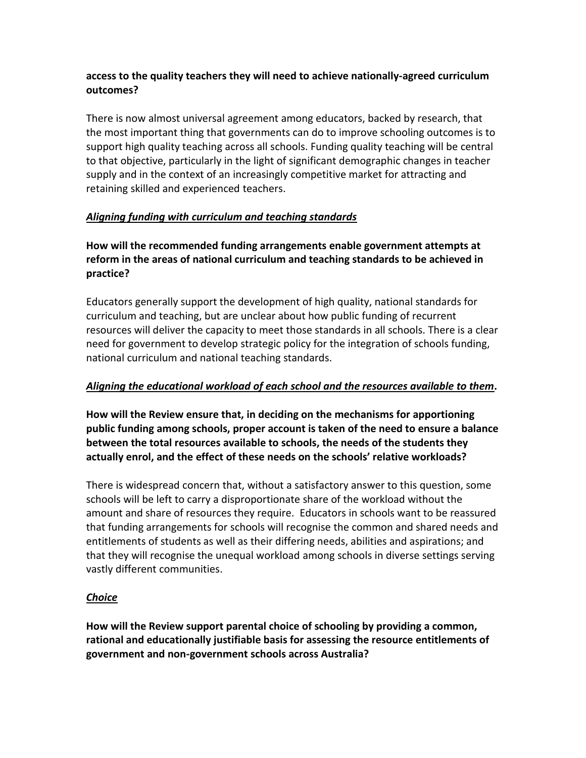#### **access to the quality teachers they will need to achieve nationally-agreed curriculum outcomes?**

There is now almost universal agreement among educators, backed by research, that the most important thing that governments can do to improve schooling outcomes is to support high quality teaching across all schools. Funding quality teaching will be central to that objective, particularly in the light of significant demographic changes in teacher supply and in the context of an increasingly competitive market for attracting and retaining skilled and experienced teachers.

## *Aligning funding with curriculum and teaching standards*

## **How will the recommended funding arrangements enable government attempts at reform in the areas of national curriculum and teaching standards to be achieved in practice?**

Educators generally support the development of high quality, national standards for curriculum and teaching, but are unclear about how public funding of recurrent resources will deliver the capacity to meet those standards in all schools. There is a clear need for government to develop strategic policy for the integration of schools funding, national curriculum and national teaching standards.

#### *Aligning the educational workload of each school and the resources available to them.*

**How will the Review ensure that, in deciding on the mechanisms for apportioning public funding among schools, proper account is taken of the need to ensure a balance between the total resources available to schools, the needs of the students they actually enrol, and the effect of these needs on the schools' relative workloads?** 

There is widespread concern that, without a satisfactory answer to this question, some schools will be left to carry a disproportionate share of the workload without the amount and share of resources they require. Educators in schools want to be reassured that funding arrangements for schools will recognise the common and shared needs and entitlements of students as well as their differing needs, abilities and aspirations; and that they will recognise the unequal workload among schools in diverse settings serving vastly different communities.

## *Choice*

**How will the Review support parental choice of schooling by providing a common, rational and educationally justifiable basis for assessing the resource entitlements of government and non-government schools across Australia?**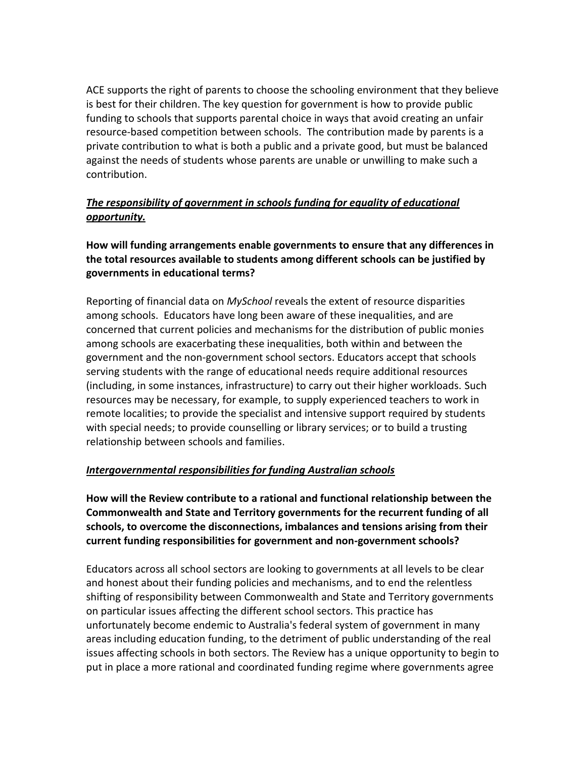ACE supports the right of parents to choose the schooling environment that they believe is best for their children. The key question for government is how to provide public funding to schools that supports parental choice in ways that avoid creating an unfair resource-based competition between schools. The contribution made by parents is a private contribution to what is both a public and a private good, but must be balanced against the needs of students whose parents are unable or unwilling to make such a contribution.

## *The responsibility of government in schools funding for equality of educational opportunity.*

## **How will funding arrangements enable governments to ensure that any differences in the total resources available to students among different schools can be justified by governments in educational terms?**

Reporting of financial data on *MySchool* reveals the extent of resource disparities among schools. Educators have long been aware of these inequalities, and are concerned that current policies and mechanisms for the distribution of public monies among schools are exacerbating these inequalities, both within and between the government and the non-government school sectors. Educators accept that schools serving students with the range of educational needs require additional resources (including, in some instances, infrastructure) to carry out their higher workloads. Such resources may be necessary, for example, to supply experienced teachers to work in remote localities; to provide the specialist and intensive support required by students with special needs; to provide counselling or library services; or to build a trusting relationship between schools and families.

#### *Intergovernmental responsibilities for funding Australian schools*

**How will the Review contribute to a rational and functional relationship between the Commonwealth and State and Territory governments for the recurrent funding of all schools, to overcome the disconnections, imbalances and tensions arising from their current funding responsibilities for government and non-government schools?**

Educators across all school sectors are looking to governments at all levels to be clear and honest about their funding policies and mechanisms, and to end the relentless shifting of responsibility between Commonwealth and State and Territory governments on particular issues affecting the different school sectors. This practice has unfortunately become endemic to Australia's federal system of government in many areas including education funding, to the detriment of public understanding of the real issues affecting schools in both sectors. The Review has a unique opportunity to begin to put in place a more rational and coordinated funding regime where governments agree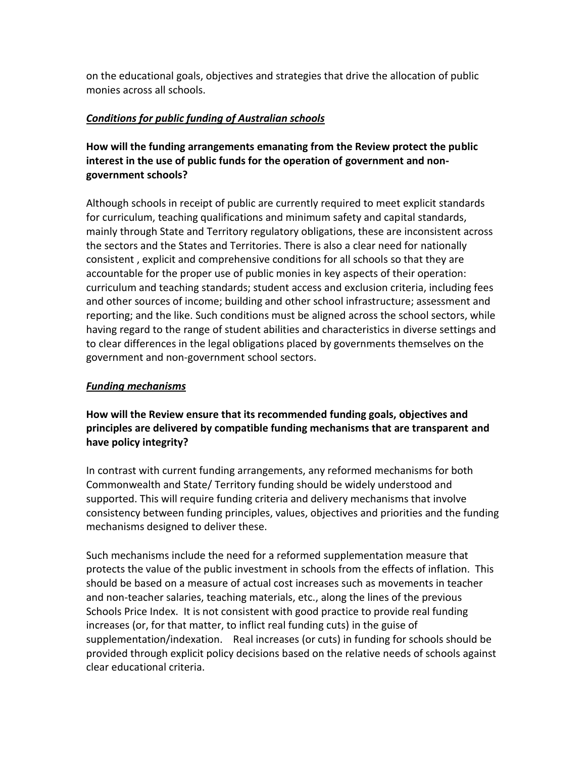on the educational goals, objectives and strategies that drive the allocation of public monies across all schools.

#### *Conditions for public funding of Australian schools*

## **How will the funding arrangements emanating from the Review protect the public interest in the use of public funds for the operation of government and nongovernment schools?**

Although schools in receipt of public are currently required to meet explicit standards for curriculum, teaching qualifications and minimum safety and capital standards, mainly through State and Territory regulatory obligations, these are inconsistent across the sectors and the States and Territories. There is also a clear need for nationally consistent , explicit and comprehensive conditions for all schools so that they are accountable for the proper use of public monies in key aspects of their operation: curriculum and teaching standards; student access and exclusion criteria, including fees and other sources of income; building and other school infrastructure; assessment and reporting; and the like. Such conditions must be aligned across the school sectors, while having regard to the range of student abilities and characteristics in diverse settings and to clear differences in the legal obligations placed by governments themselves on the government and non-government school sectors.

## *Funding mechanisms*

## **How will the Review ensure that its recommended funding goals, objectives and principles are delivered by compatible funding mechanisms that are transparent and have policy integrity?**

In contrast with current funding arrangements, any reformed mechanisms for both Commonwealth and State/ Territory funding should be widely understood and supported. This will require funding criteria and delivery mechanisms that involve consistency between funding principles, values, objectives and priorities and the funding mechanisms designed to deliver these.

Such mechanisms include the need for a reformed supplementation measure that protects the value of the public investment in schools from the effects of inflation. This should be based on a measure of actual cost increases such as movements in teacher and non-teacher salaries, teaching materials, etc., along the lines of the previous Schools Price Index. It is not consistent with good practice to provide real funding increases (or, for that matter, to inflict real funding cuts) in the guise of supplementation/indexation. Real increases (or cuts) in funding for schools should be provided through explicit policy decisions based on the relative needs of schools against clear educational criteria.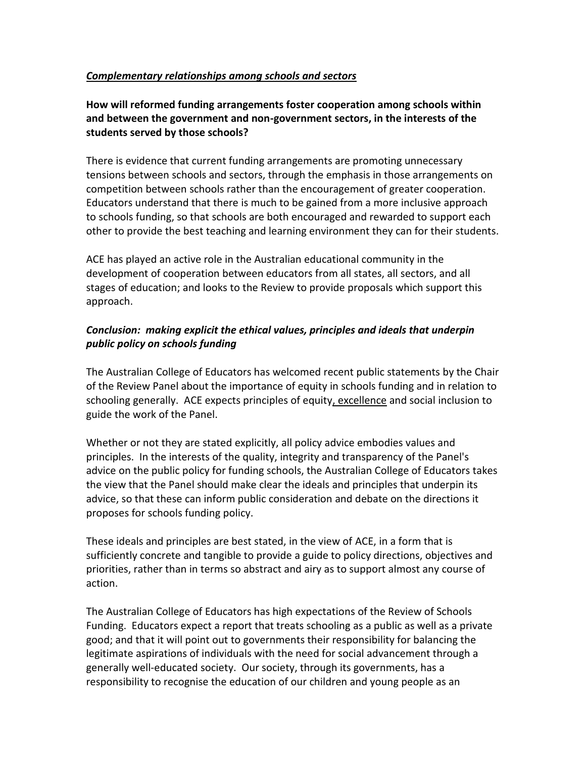#### *Complementary relationships among schools and sectors*

### **How will reformed funding arrangements foster cooperation among schools within and between the government and non-government sectors, in the interests of the students served by those schools?**

There is evidence that current funding arrangements are promoting unnecessary tensions between schools and sectors, through the emphasis in those arrangements on competition between schools rather than the encouragement of greater cooperation. Educators understand that there is much to be gained from a more inclusive approach to schools funding, so that schools are both encouraged and rewarded to support each other to provide the best teaching and learning environment they can for their students.

ACE has played an active role in the Australian educational community in the development of cooperation between educators from all states, all sectors, and all stages of education; and looks to the Review to provide proposals which support this approach.

#### *Conclusion: making explicit the ethical values, principles and ideals that underpin public policy on schools funding*

The Australian College of Educators has welcomed recent public statements by the Chair of the Review Panel about the importance of equity in schools funding and in relation to schooling generally. ACE expects principles of equity, excellence and social inclusion to guide the work of the Panel.

Whether or not they are stated explicitly, all policy advice embodies values and principles. In the interests of the quality, integrity and transparency of the Panel's advice on the public policy for funding schools, the Australian College of Educators takes the view that the Panel should make clear the ideals and principles that underpin its advice, so that these can inform public consideration and debate on the directions it proposes for schools funding policy.

These ideals and principles are best stated, in the view of ACE, in a form that is sufficiently concrete and tangible to provide a guide to policy directions, objectives and priorities, rather than in terms so abstract and airy as to support almost any course of action.

The Australian College of Educators has high expectations of the Review of Schools Funding. Educators expect a report that treats schooling as a public as well as a private good; and that it will point out to governments their responsibility for balancing the legitimate aspirations of individuals with the need for social advancement through a generally well-educated society. Our society, through its governments, has a responsibility to recognise the education of our children and young people as an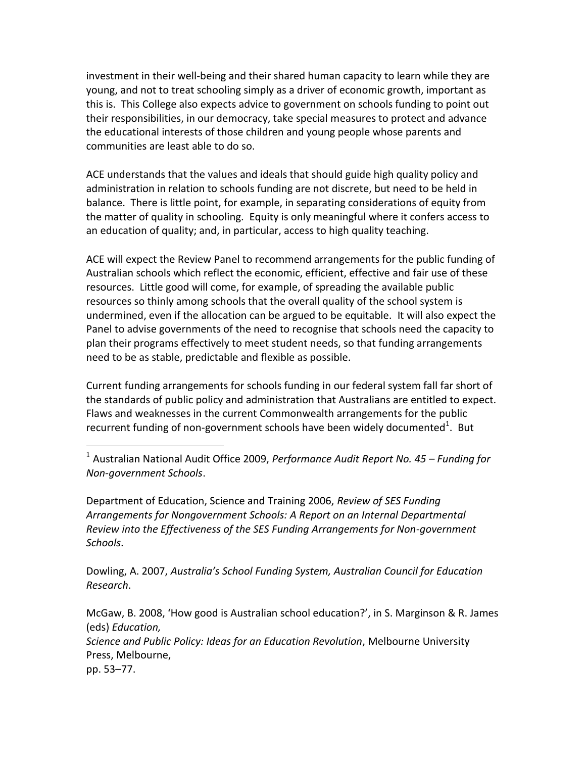investment in their well-being and their shared human capacity to learn while they are young, and not to treat schooling simply as a driver of economic growth, important as this is. This College also expects advice to government on schools funding to point out their responsibilities, in our democracy, take special measures to protect and advance the educational interests of those children and young people whose parents and communities are least able to do so.

ACE understands that the values and ideals that should guide high quality policy and administration in relation to schools funding are not discrete, but need to be held in balance. There is little point, for example, in separating considerations of equity from the matter of quality in schooling. Equity is only meaningful where it confers access to an education of quality; and, in particular, access to high quality teaching.

ACE will expect the Review Panel to recommend arrangements for the public funding of Australian schools which reflect the economic, efficient, effective and fair use of these resources. Little good will come, for example, of spreading the available public resources so thinly among schools that the overall quality of the school system is undermined, even if the allocation can be argued to be equitable. It will also expect the Panel to advise governments of the need to recognise that schools need the capacity to plan their programs effectively to meet student needs, so that funding arrangements need to be as stable, predictable and flexible as possible.

Current funding arrangements for schools funding in our federal system fall far short of the standards of public policy and administration that Australians are entitled to expect. Flaws and weaknesses in the current Commonwealth arrangements for the public recurrent funding of non-government schools have been widely documented<sup>1</sup>. But

 $\overline{a}$ 

Department of Education, Science and Training 2006, *Review of SES Funding Arrangements for Nongovernment Schools: A Report on an Internal Departmental Review into the Effectiveness of the SES Funding Arrangements for Non-government Schools*.

Dowling, A. 2007, *Australia's School Funding System, Australian Council for Education Research*.

McGaw, B. 2008, 'How good is Australian school education?', in S. Marginson & R. James (eds) *Education, Science and Public Policy: Ideas for an Education Revolution*, Melbourne University Press, Melbourne, pp. 53–77.

<sup>&</sup>lt;sup>1</sup> Australian National Audit Office 2009, *Performance Audit Report No. 45 – Funding for Non-government Schools*.